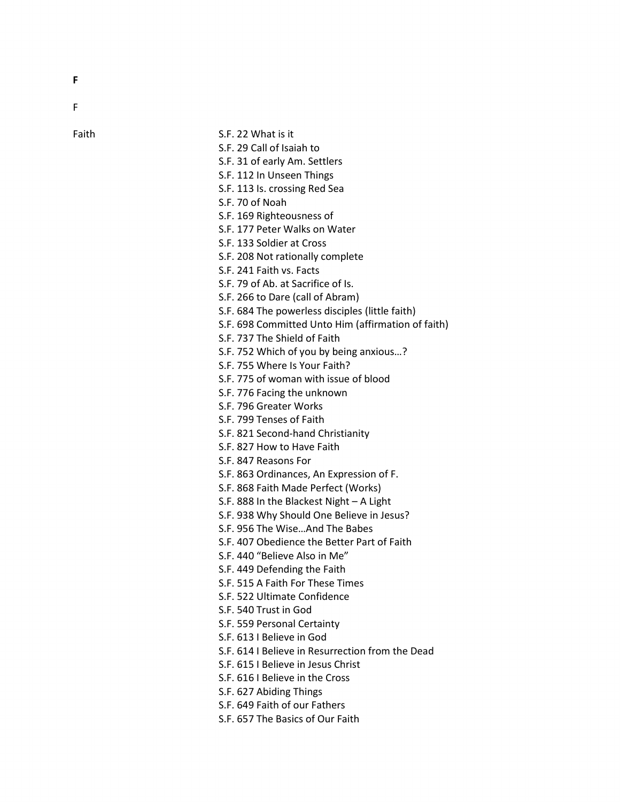F

F

Faith

| Faith | S.F. 22 What is it                                 |
|-------|----------------------------------------------------|
|       | S.F. 29 Call of Isaiah to                          |
|       | S.F. 31 of early Am. Settlers                      |
|       | S.F. 112 In Unseen Things                          |
|       | S.F. 113 Is. crossing Red Sea                      |
|       | S.F. 70 of Noah                                    |
|       | S.F. 169 Righteousness of                          |
|       | S.F. 177 Peter Walks on Water                      |
|       | S.F. 133 Soldier at Cross                          |
|       | S.F. 208 Not rationally complete                   |
|       | S.F. 241 Faith vs. Facts                           |
|       | S.F. 79 of Ab. at Sacrifice of Is.                 |
|       | S.F. 266 to Dare (call of Abram)                   |
|       | S.F. 684 The powerless disciples (little faith)    |
|       | S.F. 698 Committed Unto Him (affirmation of faith) |
|       | S.F. 737 The Shield of Faith                       |
|       | S.F. 752 Which of you by being anxious?            |
|       | S.F. 755 Where Is Your Faith?                      |
|       | S.F. 775 of woman with issue of blood              |
|       | S.F. 776 Facing the unknown                        |
|       | S.F. 796 Greater Works                             |
|       | S.F. 799 Tenses of Faith                           |
|       | S.F. 821 Second-hand Christianity                  |
|       | S.F. 827 How to Have Faith                         |
|       | S.F. 847 Reasons For                               |
|       | S.F. 863 Ordinances, An Expression of F.           |
|       | S.F. 868 Faith Made Perfect (Works)                |
|       | S.F. 888 In the Blackest Night - A Light           |
|       | S.F. 938 Why Should One Believe in Jesus?          |
|       | S.F. 956 The WiseAnd The Babes                     |
|       | S.F. 407 Obedience the Better Part of Faith        |
|       | S.F. 440 "Believe Also in Me"                      |
|       | S.F. 449 Defending the Faith                       |
|       | S.F. 515 A Faith For These Times                   |
|       | S.F. 522 Ultimate Confidence                       |
|       | S.F. 540 Trust in God                              |
|       | S.F. 559 Personal Certainty                        |
|       | S.F. 613 I Believe in God                          |
|       | S.F. 614   Believe in Resurrection from the Dead   |
|       | S.F. 615   Believe in Jesus Christ                 |
|       | S.F. 616   Believe in the Cross                    |
|       | S.F. 627 Abiding Things                            |
|       | S.F. 649 Faith of our Fathers                      |
|       | S.F. 657 The Basics of Our Faith                   |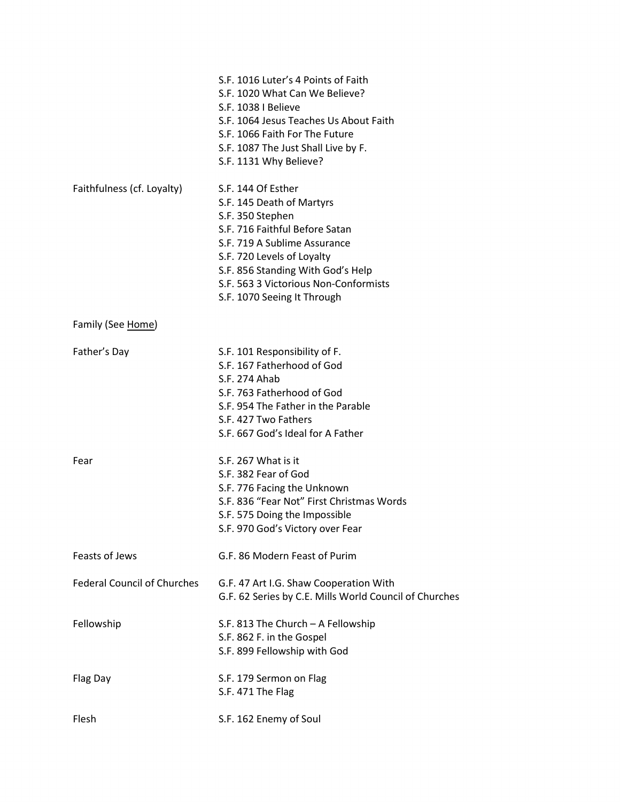|                                    | S.F. 1016 Luter's 4 Points of Faith<br>S.F. 1020 What Can We Believe?<br>S.F. 1038   Believe<br>S.F. 1064 Jesus Teaches Us About Faith<br>S.F. 1066 Faith For The Future<br>S.F. 1087 The Just Shall Live by F.<br>S.F. 1131 Why Believe?                                        |
|------------------------------------|----------------------------------------------------------------------------------------------------------------------------------------------------------------------------------------------------------------------------------------------------------------------------------|
| Faithfulness (cf. Loyalty)         | S.F. 144 Of Esther<br>S.F. 145 Death of Martyrs<br>S.F. 350 Stephen<br>S.F. 716 Faithful Before Satan<br>S.F. 719 A Sublime Assurance<br>S.F. 720 Levels of Loyalty<br>S.F. 856 Standing With God's Help<br>S.F. 563 3 Victorious Non-Conformists<br>S.F. 1070 Seeing It Through |
| Family (See Home)                  |                                                                                                                                                                                                                                                                                  |
| Father's Day                       | S.F. 101 Responsibility of F.<br>S.F. 167 Fatherhood of God<br>S.F. 274 Ahab<br>S.F. 763 Fatherhood of God<br>S.F. 954 The Father in the Parable<br>S.F. 427 Two Fathers<br>S.F. 667 God's Ideal for A Father                                                                    |
| Fear                               | S.F. 267 What is it<br>S.F. 382 Fear of God<br>S.F. 776 Facing the Unknown<br>S.F. 836 "Fear Not" First Christmas Words<br>S.F. 575 Doing the Impossible<br>S.F. 970 God's Victory over Fear                                                                                     |
| Feasts of Jews                     | G.F. 86 Modern Feast of Purim                                                                                                                                                                                                                                                    |
| <b>Federal Council of Churches</b> | G.F. 47 Art I.G. Shaw Cooperation With<br>G.F. 62 Series by C.E. Mills World Council of Churches                                                                                                                                                                                 |
| Fellowship                         | S.F. 813 The Church - A Fellowship<br>S.F. 862 F. in the Gospel<br>S.F. 899 Fellowship with God                                                                                                                                                                                  |
| Flag Day                           | S.F. 179 Sermon on Flag<br>S.F. 471 The Flag                                                                                                                                                                                                                                     |
| Flesh                              | S.F. 162 Enemy of Soul                                                                                                                                                                                                                                                           |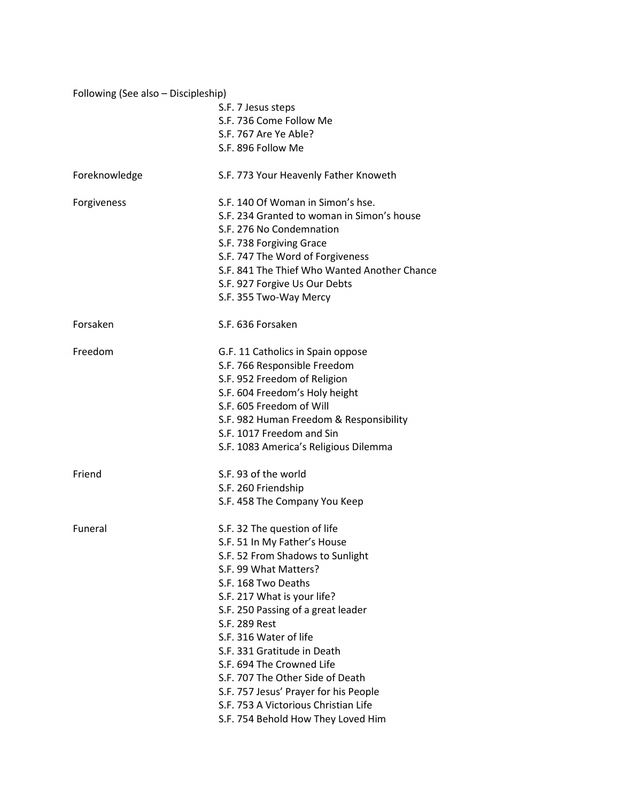| Following (See also - Discipleship) |                                              |
|-------------------------------------|----------------------------------------------|
|                                     | S.F. 7 Jesus steps                           |
|                                     | S.F. 736 Come Follow Me                      |
|                                     | S.F. 767 Are Ye Able?                        |
|                                     | S.F. 896 Follow Me                           |
| Foreknowledge                       | S.F. 773 Your Heavenly Father Knoweth        |
| Forgiveness                         | S.F. 140 Of Woman in Simon's hse.            |
|                                     | S.F. 234 Granted to woman in Simon's house   |
|                                     | S.F. 276 No Condemnation                     |
|                                     | S.F. 738 Forgiving Grace                     |
|                                     | S.F. 747 The Word of Forgiveness             |
|                                     | S.F. 841 The Thief Who Wanted Another Chance |
|                                     | S.F. 927 Forgive Us Our Debts                |
|                                     | S.F. 355 Two-Way Mercy                       |
| Forsaken                            | S.F. 636 Forsaken                            |
| Freedom                             | G.F. 11 Catholics in Spain oppose            |
|                                     | S.F. 766 Responsible Freedom                 |
|                                     | S.F. 952 Freedom of Religion                 |
|                                     | S.F. 604 Freedom's Holy height               |
|                                     | S.F. 605 Freedom of Will                     |
|                                     | S.F. 982 Human Freedom & Responsibility      |
|                                     | S.F. 1017 Freedom and Sin                    |
|                                     | S.F. 1083 America's Religious Dilemma        |
| Friend                              | S.F. 93 of the world                         |
|                                     | S.F. 260 Friendship                          |
|                                     | S.F. 458 The Company You Keep                |
| Funeral                             | S.F. 32 The question of life                 |
|                                     | S.F. 51 In My Father's House                 |
|                                     | S.F. 52 From Shadows to Sunlight             |
|                                     | S.F. 99 What Matters?                        |
|                                     | S.F. 168 Two Deaths                          |
|                                     | S.F. 217 What is your life?                  |
|                                     | S.F. 250 Passing of a great leader           |
|                                     | S.F. 289 Rest                                |
|                                     | S.F. 316 Water of life                       |
|                                     | S.F. 331 Gratitude in Death                  |
|                                     | S.F. 694 The Crowned Life                    |
|                                     | S.F. 707 The Other Side of Death             |
|                                     | S.F. 757 Jesus' Prayer for his People        |
|                                     | S.F. 753 A Victorious Christian Life         |
|                                     | S.F. 754 Behold How They Loved Him           |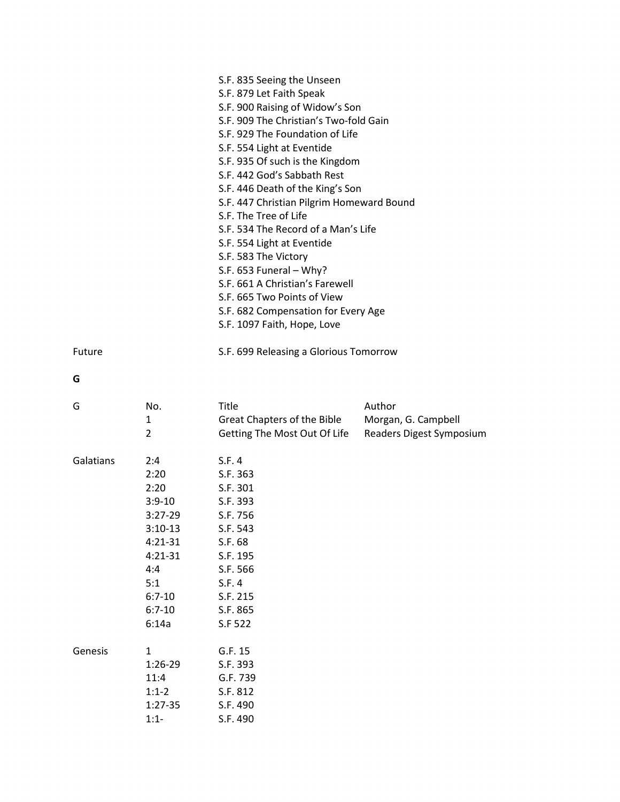|           |                                                                                                                                      | S.F. 835 Seeing the Unseen<br>S.F. 879 Let Faith Speak<br>S.F. 900 Raising of Widow's Son<br>S.F. 909 The Christian's Two-fold Gain<br>S.F. 929 The Foundation of Life<br>S.F. 554 Light at Eventide<br>S.F. 935 Of such is the Kingdom<br>S.F. 442 God's Sabbath Rest<br>S.F. 446 Death of the King's Son<br>S.F. 447 Christian Pilgrim Homeward Bound<br>S.F. The Tree of Life<br>S.F. 534 The Record of a Man's Life<br>S.F. 554 Light at Eventide<br>S.F. 583 The Victory<br>S.F. 653 Funeral - Why?<br>S.F. 661 A Christian's Farewell<br>S.F. 665 Two Points of View<br>S.F. 682 Compensation for Every Age<br>S.F. 1097 Faith, Hope, Love |                                                           |
|-----------|--------------------------------------------------------------------------------------------------------------------------------------|--------------------------------------------------------------------------------------------------------------------------------------------------------------------------------------------------------------------------------------------------------------------------------------------------------------------------------------------------------------------------------------------------------------------------------------------------------------------------------------------------------------------------------------------------------------------------------------------------------------------------------------------------|-----------------------------------------------------------|
| Future    |                                                                                                                                      | S.F. 699 Releasing a Glorious Tomorrow                                                                                                                                                                                                                                                                                                                                                                                                                                                                                                                                                                                                           |                                                           |
| G         |                                                                                                                                      |                                                                                                                                                                                                                                                                                                                                                                                                                                                                                                                                                                                                                                                  |                                                           |
| G         | No.<br>1<br>$\overline{2}$                                                                                                           | Title<br>Great Chapters of the Bible<br>Getting The Most Out Of Life                                                                                                                                                                                                                                                                                                                                                                                                                                                                                                                                                                             | Author<br>Morgan, G. Campbell<br>Readers Digest Symposium |
| Galatians | 2:4<br>2:20<br>2:20<br>$3:9-10$<br>$3:27-29$<br>$3:10-13$<br>$4:21-31$<br>$4:21-31$<br>4:4<br>5:1<br>$6:7 - 10$<br>$6:7-10$<br>6:14a | S.F. 4<br>S.F. 363<br>S.F. 301<br>S.F. 393<br>S.F. 756<br>S.F. 543<br>S.F. 68<br>S.F. 195<br>S.F. 566<br>S.F. 4<br>S.F. 215<br>S.F. 865<br>S.F 522                                                                                                                                                                                                                                                                                                                                                                                                                                                                                               |                                                           |
| Genesis   | $\mathbf{1}$<br>$1:26-29$<br>11:4<br>$1:1-2$<br>1:27-35<br>$1:1-$                                                                    | G.F. 15<br>S.F. 393<br>G.F. 739<br>S.F. 812<br>S.F. 490<br>S.F. 490                                                                                                                                                                                                                                                                                                                                                                                                                                                                                                                                                                              |                                                           |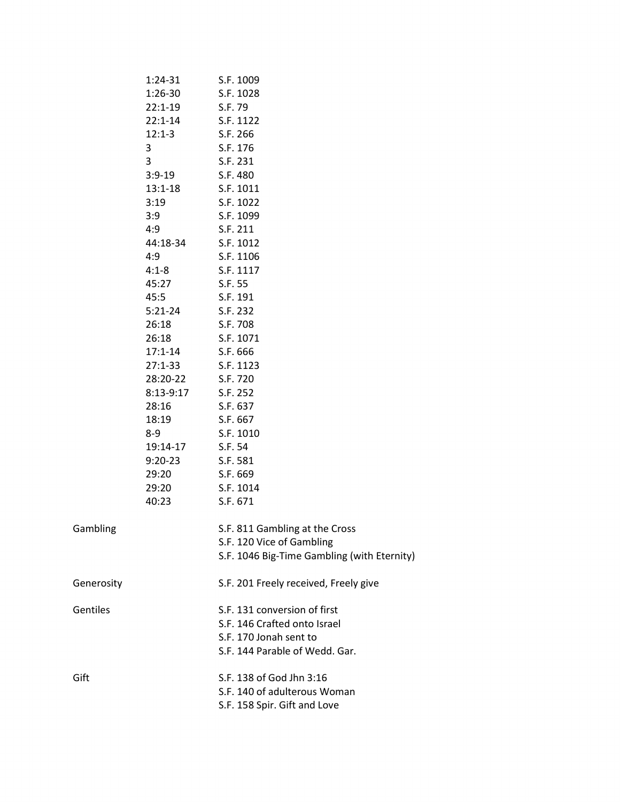|                 | 1:24-31     | S.F. 1009                                   |
|-----------------|-------------|---------------------------------------------|
|                 | $1:26-30$   | S.F. 1028                                   |
|                 | $22:1-19$   | S.F. 79                                     |
|                 | $22:1 - 14$ | S.F. 1122                                   |
|                 | $12:1-3$    | S.F. 266                                    |
|                 | 3           | S.F. 176                                    |
|                 | 3           | S.F. 231                                    |
|                 | $3:9-19$    | S.F. 480                                    |
|                 | $13:1 - 18$ | S.F. 1011                                   |
|                 | 3:19        | S.F. 1022                                   |
|                 | 3:9         | S.F. 1099                                   |
|                 | 4:9         | S.F. 211                                    |
|                 | 44:18-34    | S.F. 1012                                   |
|                 | 4:9         | S.F. 1106                                   |
|                 | $4:1 - 8$   | S.F. 1117                                   |
|                 | 45:27       | S.F. 55                                     |
|                 | 45:5        | S.F. 191                                    |
|                 | $5:21-24$   | S.F. 232                                    |
|                 | 26:18       | S.F. 708                                    |
|                 | 26:18       | S.F. 1071                                   |
|                 | $17:1 - 14$ | S.F. 666                                    |
|                 | $27:1 - 33$ | S.F. 1123                                   |
|                 | 28:20-22    | S.F. 720                                    |
|                 | $8:13-9:17$ | S.F. 252                                    |
|                 | 28:16       | S.F. 637                                    |
|                 | 18:19       | S.F. 667                                    |
|                 | 8-9         | S.F. 1010                                   |
|                 | 19:14-17    | S.F. 54                                     |
|                 | $9:20-23$   | S.F. 581                                    |
|                 | 29:20       | S.F. 669                                    |
|                 | 29:20       | S.F. 1014                                   |
|                 | 40:23       | S.F. 671                                    |
| Gambling        |             | S.F. 811 Gambling at the Cross              |
|                 |             | S.F. 120 Vice of Gambling                   |
|                 |             | S.F. 1046 Big-Time Gambling (with Eternity) |
| Generosity      |             | S.F. 201 Freely received, Freely give       |
| <b>Gentiles</b> |             | S.F. 131 conversion of first                |
|                 |             | S.F. 146 Crafted onto Israel                |
|                 |             | S.F. 170 Jonah sent to                      |
|                 |             | S.F. 144 Parable of Wedd. Gar.              |
| Gift            |             | S.F. 138 of God Jhn 3:16                    |
|                 |             | S.F. 140 of adulterous Woman                |
|                 |             | S.F. 158 Spir. Gift and Love                |
|                 |             |                                             |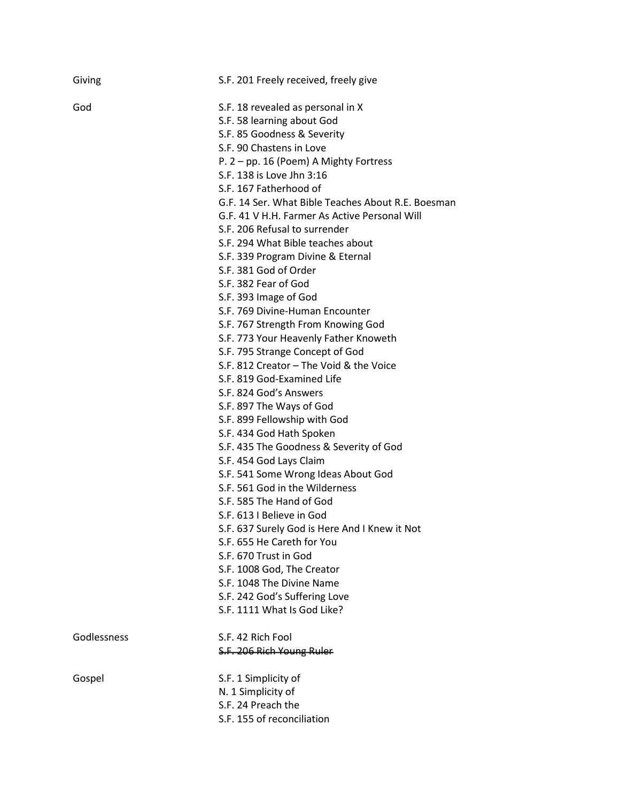| Giving      | S.F. 201 Freely received, freely give              |
|-------------|----------------------------------------------------|
| God         | S.F. 18 revealed as personal in X                  |
|             | S.F. 58 learning about God                         |
|             | S.F. 85 Goodness & Severity                        |
|             | S.F. 90 Chastens in Love                           |
|             | P. 2 – pp. 16 (Poem) A Mighty Fortress             |
|             | S.F. 138 is Love Jhn 3:16                          |
|             | S.F. 167 Fatherhood of                             |
|             | G.F. 14 Ser. What Bible Teaches About R.E. Boesman |
|             | G.F. 41 V H.H. Farmer As Active Personal Will      |
|             | S.F. 206 Refusal to surrender                      |
|             | S.F. 294 What Bible teaches about                  |
|             | S.F. 339 Program Divine & Eternal                  |
|             | S.F. 381 God of Order                              |
|             | S.F. 382 Fear of God                               |
|             | S.F. 393 Image of God                              |
|             | S.F. 769 Divine-Human Encounter                    |
|             | S.F. 767 Strength From Knowing God                 |
|             | S.F. 773 Your Heavenly Father Knoweth              |
|             | S.F. 795 Strange Concept of God                    |
|             | S.F. 812 Creator - The Void & the Voice            |
|             | S.F. 819 God-Examined Life                         |
|             | S.F. 824 God's Answers                             |
|             | S.F. 897 The Ways of God                           |
|             | S.F. 899 Fellowship with God                       |
|             | S.F. 434 God Hath Spoken                           |
|             | S.F. 435 The Goodness & Severity of God            |
|             | S.F. 454 God Lays Claim                            |
|             | S.F. 541 Some Wrong Ideas About God                |
|             | S.F. 561 God in the Wilderness                     |
|             | S.F. 585 The Hand of God                           |
|             | S.F. 613 I Believe in God                          |
|             | S.F. 637 Surely God is Here And I Knew it Not      |
|             | S.F. 655 He Careth for You                         |
|             | S.F. 670 Trust in God                              |
|             | S.F. 1008 God, The Creator                         |
|             | S.F. 1048 The Divine Name                          |
|             | S.F. 242 God's Suffering Love                      |
|             | S.F. 1111 What Is God Like?                        |
| Godlessness | S.F. 42 Rich Fool                                  |
|             | S.F. 206 Rich Young Ruler                          |
| Gospel      | S.F. 1 Simplicity of                               |
|             | N. 1 Simplicity of                                 |
|             | S.F. 24 Preach the                                 |
|             | S.F. 155 of reconciliation                         |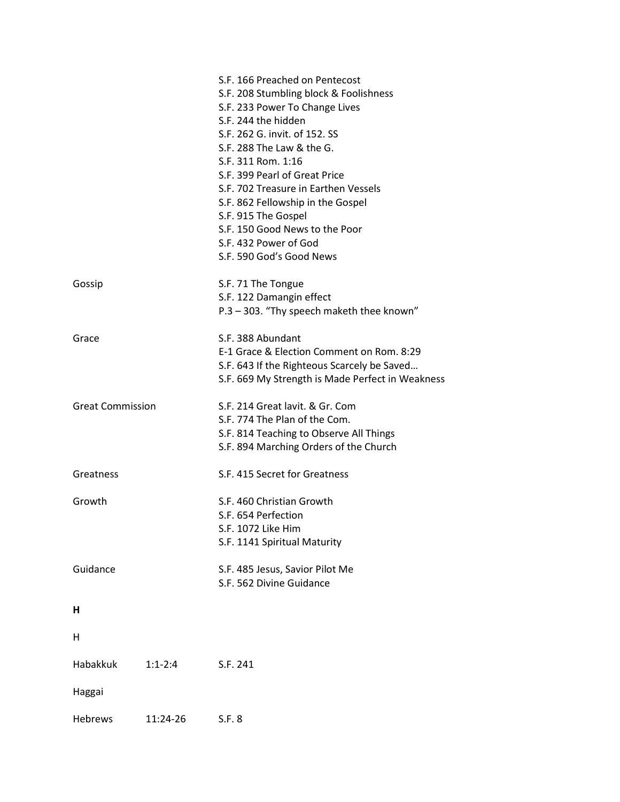|                         |           | S.F. 166 Preached on Pentecost                   |
|-------------------------|-----------|--------------------------------------------------|
|                         |           | S.F. 208 Stumbling block & Foolishness           |
|                         |           | S.F. 233 Power To Change Lives                   |
|                         |           | S.F. 244 the hidden                              |
|                         |           | S.F. 262 G. invit. of 152. SS                    |
|                         |           | S.F. 288 The Law & the G.                        |
|                         |           | S.F. 311 Rom. 1:16                               |
|                         |           | S.F. 399 Pearl of Great Price                    |
|                         |           | S.F. 702 Treasure in Earthen Vessels             |
|                         |           | S.F. 862 Fellowship in the Gospel                |
|                         |           | S.F. 915 The Gospel                              |
|                         |           | S.F. 150 Good News to the Poor                   |
|                         |           | S.F. 432 Power of God                            |
|                         |           | S.F. 590 God's Good News                         |
|                         |           |                                                  |
| Gossip                  |           | S.F. 71 The Tongue                               |
|                         |           | S.F. 122 Damangin effect                         |
|                         |           | P.3 - 303. "Thy speech maketh thee known"        |
| Grace                   |           | S.F. 388 Abundant                                |
|                         |           | E-1 Grace & Election Comment on Rom. 8:29        |
|                         |           | S.F. 643 If the Righteous Scarcely be Saved      |
|                         |           |                                                  |
|                         |           | S.F. 669 My Strength is Made Perfect in Weakness |
| <b>Great Commission</b> |           | S.F. 214 Great lavit. & Gr. Com                  |
|                         |           | S.F. 774 The Plan of the Com.                    |
|                         |           | S.F. 814 Teaching to Observe All Things          |
|                         |           | S.F. 894 Marching Orders of the Church           |
|                         |           |                                                  |
| Greatness               |           | S.F. 415 Secret for Greatness                    |
| Growth                  |           | S.F. 460 Christian Growth                        |
|                         |           |                                                  |
|                         |           | S.F. 654 Perfection                              |
|                         |           | S.F. 1072 Like Him                               |
|                         |           | S.F. 1141 Spiritual Maturity                     |
| Guidance                |           | S.F. 485 Jesus, Savior Pilot Me                  |
|                         |           | S.F. 562 Divine Guidance                         |
|                         |           |                                                  |
| н                       |           |                                                  |
| Η                       |           |                                                  |
|                         |           |                                                  |
| Habakkuk                | $1:1-2:4$ | S.F. 241                                         |
|                         |           |                                                  |
| Haggai                  |           |                                                  |
| <b>Hebrews</b>          | 11:24-26  | S.F. 8                                           |
|                         |           |                                                  |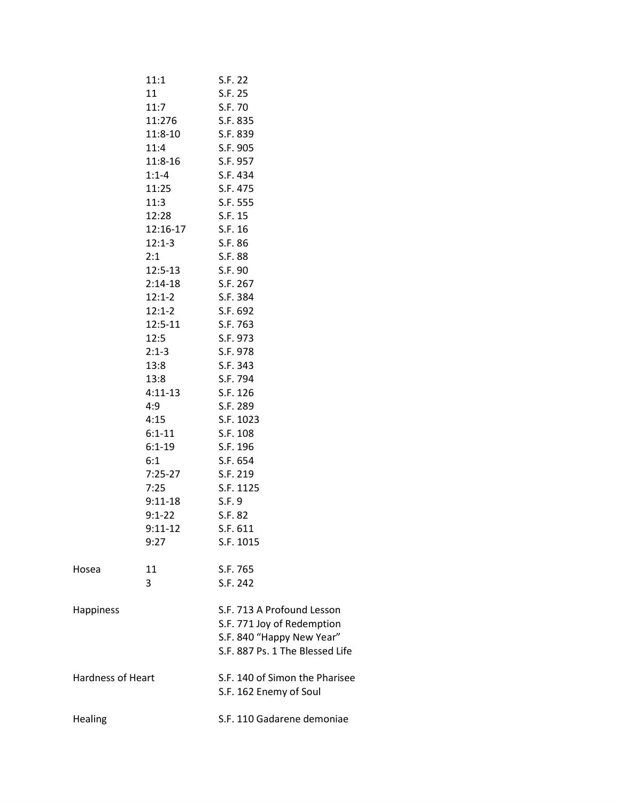|                          | 11:1              | S.F. 22                         |
|--------------------------|-------------------|---------------------------------|
|                          | 11                | S.F. 25                         |
|                          | 11:7              | S.F. 70                         |
|                          | 11:276            | S.F. 835                        |
|                          | 11:8-10           | S.F. 839                        |
|                          | 11:4              | S.F. 905                        |
|                          | $11:8-16$         | S.F. 957                        |
|                          | $1:1 - 4$         | S.F. 434                        |
|                          | 11:25             | S.F. 475                        |
|                          | 11:3              | S.F. 555                        |
|                          | 12:28             | S.F. 15                         |
|                          | 12:16-17          | S.F. 16                         |
|                          | $12:1-3$          | S.F. 86                         |
|                          | 2:1               | S.F. 88                         |
|                          | $12:5-13$         | S.F. 90                         |
|                          | $2:14-18$         | S.F. 267                        |
|                          | $12:1-2$          | S.F. 384                        |
|                          | $12:1 - 2$        | S.F. 692                        |
|                          | $12:5-11$         | S.F. 763                        |
|                          | 12:5              | S.F. 973                        |
|                          | $2:1-3$           | S.F. 978                        |
|                          | 13:8              | S.F. 343                        |
|                          | 13:8              | S.F. 794                        |
|                          | $4:11-13$         | S.F. 126                        |
|                          | 4:9               | S.F. 289                        |
|                          | 4:15              | S.F. 1023                       |
|                          | $6:1 - 11$        | S.F. 108                        |
|                          | $6:1 - 19$        | S.F. 196                        |
|                          | 6:1               | S.F. 654                        |
|                          | $7:25-27$         | S.F. 219                        |
|                          | 7:25              | S.F. 1125                       |
|                          | $9:11-18$         | S.F. 9                          |
|                          | $9:1 - 22$        |                                 |
|                          |                   | S.F. 82                         |
|                          | $9:11-12$<br>9:27 | S.F. 611<br>S.F. 1015           |
|                          |                   |                                 |
| Hosea                    | 11                | S.F. 765                        |
|                          | 3                 | S.F. 242                        |
|                          |                   |                                 |
| <b>Happiness</b>         |                   | S.F. 713 A Profound Lesson      |
|                          |                   | S.F. 771 Joy of Redemption      |
|                          |                   | S.F. 840 "Happy New Year"       |
|                          |                   | S.F. 887 Ps. 1 The Blessed Life |
|                          |                   |                                 |
| <b>Hardness of Heart</b> |                   | S.F. 140 of Simon the Pharisee  |
|                          |                   | S.F. 162 Enemy of Soul          |
|                          |                   |                                 |
| <b>Healing</b>           |                   | S.F. 110 Gadarene demoniae      |
|                          |                   |                                 |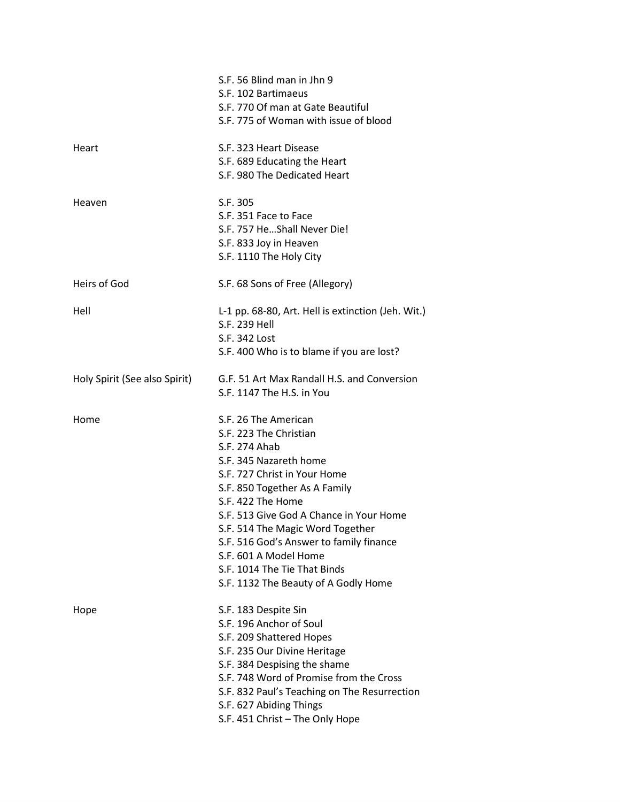|                               | S.F. 56 Blind man in Jhn 9                                 |
|-------------------------------|------------------------------------------------------------|
|                               | S.F. 102 Bartimaeus                                        |
|                               | S.F. 770 Of man at Gate Beautiful                          |
|                               | S.F. 775 of Woman with issue of blood                      |
| Heart                         | S.F. 323 Heart Disease                                     |
|                               | S.F. 689 Educating the Heart                               |
|                               | S.F. 980 The Dedicated Heart                               |
| Heaven                        | S.F. 305                                                   |
|                               | S.F. 351 Face to Face                                      |
|                               | S.F. 757 HeShall Never Die!                                |
|                               | S.F. 833 Joy in Heaven                                     |
|                               | S.F. 1110 The Holy City                                    |
| Heirs of God                  | S.F. 68 Sons of Free (Allegory)                            |
| Hell                          | L-1 pp. 68-80, Art. Hell is extinction (Jeh. Wit.)         |
|                               | S.F. 239 Hell                                              |
|                               | S.F. 342 Lost                                              |
|                               | S.F. 400 Who is to blame if you are lost?                  |
| Holy Spirit (See also Spirit) | G.F. 51 Art Max Randall H.S. and Conversion                |
|                               | S.F. 1147 The H.S. in You                                  |
| Home                          | S.F. 26 The American                                       |
|                               | S.F. 223 The Christian                                     |
|                               | S.F. 274 Ahab                                              |
|                               | S.F. 345 Nazareth home                                     |
|                               | S.F. 727 Christ in Your Home                               |
|                               | S.F. 850 Together As A Family                              |
|                               | S.F. 422 The Home                                          |
|                               | S.F. 513 Give God A Chance in Your Home                    |
|                               | S.F. 514 The Magic Word Together                           |
|                               | S.F. 516 God's Answer to family finance                    |
|                               | S.F. 601 A Model Home                                      |
|                               | S.F. 1014 The Tie That Binds                               |
|                               | S.F. 1132 The Beauty of A Godly Home                       |
|                               |                                                            |
| Hope                          | S.F. 183 Despite Sin                                       |
|                               | S.F. 196 Anchor of Soul                                    |
|                               | S.F. 209 Shattered Hopes                                   |
|                               | S.F. 235 Our Divine Heritage                               |
|                               | S.F. 384 Despising the shame                               |
|                               | S.F. 748 Word of Promise from the Cross                    |
|                               | S.F. 832 Paul's Teaching on The Resurrection               |
|                               | S.F. 627 Abiding Things<br>S.F. 451 Christ - The Only Hope |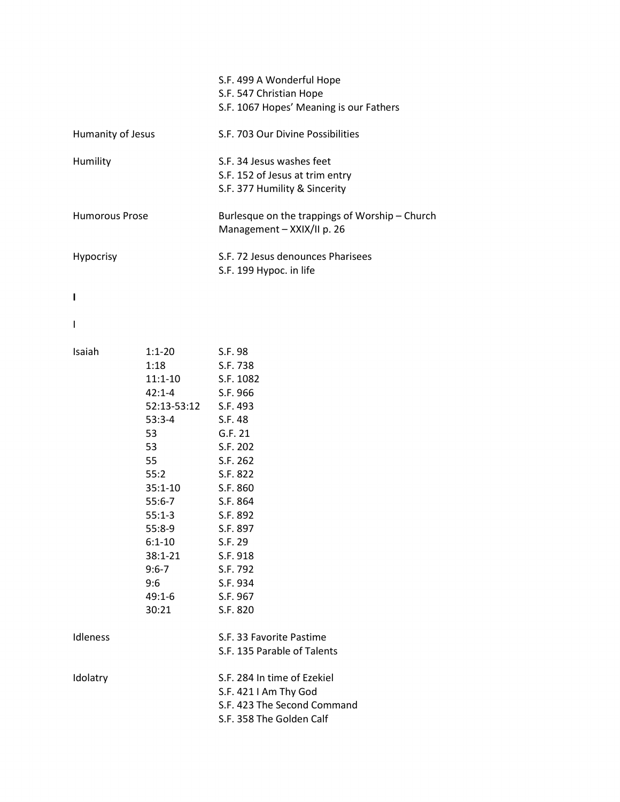|                       |                                                                                                                                                                                                                                                                                                             | S.F. 499 A Wonderful Hope<br>S.F. 547 Christian Hope<br>S.F. 1067 Hopes' Meaning is our Fathers                 |
|-----------------------|-------------------------------------------------------------------------------------------------------------------------------------------------------------------------------------------------------------------------------------------------------------------------------------------------------------|-----------------------------------------------------------------------------------------------------------------|
| Humanity of Jesus     |                                                                                                                                                                                                                                                                                                             | S.F. 703 Our Divine Possibilities                                                                               |
| Humility              |                                                                                                                                                                                                                                                                                                             | S.F. 34 Jesus washes feet<br>S.F. 152 of Jesus at trim entry<br>S.F. 377 Humility & Sincerity                   |
| <b>Humorous Prose</b> |                                                                                                                                                                                                                                                                                                             | Burlesque on the trappings of Worship - Church<br>Management - XXIX/II p. 26                                    |
| Hypocrisy             |                                                                                                                                                                                                                                                                                                             | S.F. 72 Jesus denounces Pharisees<br>S.F. 199 Hypoc. in life                                                    |
| ı                     |                                                                                                                                                                                                                                                                                                             |                                                                                                                 |
| I                     |                                                                                                                                                                                                                                                                                                             |                                                                                                                 |
| Isaiah                | 1:1-20 S.F. 98<br>1:18 S.F. 738<br>11:1-10 S.F. 1082<br>42:1-4 S.F. 966<br>52:13-53:12 S.F. 493<br>53:3-4 S.F. 48<br>53<br>53 S.F. 202<br>55 S.F. 262<br>55:2 S.F. 822<br>35:1-10 S.F. 860<br>55:6-7 S.F. 864<br>$55:1-3$<br>55:8-9<br>$6:1 - 10$<br>$38:1 - 21$<br>$9:6 - 7$<br>9:6<br>$49:1 - 6$<br>30:21 | G.F. 21<br>S.F. 892<br>S.F. 897<br>S.F. 29<br>S.F. 918<br>S.F. 792<br>S.F. 934<br>S.F. 967<br>S.F. 820          |
| Idleness              |                                                                                                                                                                                                                                                                                                             | S.F. 33 Favorite Pastime<br>S.F. 135 Parable of Talents                                                         |
| Idolatry              |                                                                                                                                                                                                                                                                                                             | S.F. 284 In time of Ezekiel<br>S.F. 421 I Am Thy God<br>S.F. 423 The Second Command<br>S.F. 358 The Golden Calf |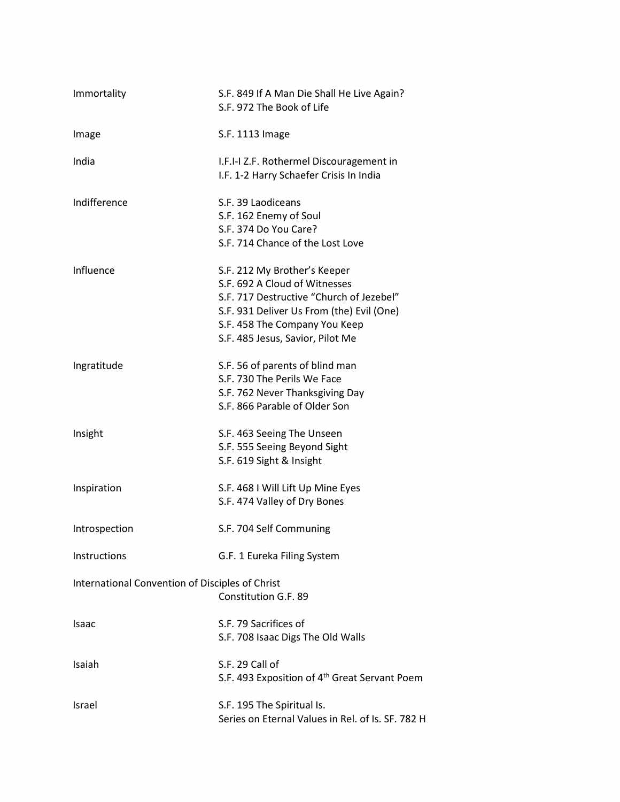| Immortality                                     | S.F. 849 If A Man Die Shall He Live Again?<br>S.F. 972 The Book of Life                                                                                                                                                     |
|-------------------------------------------------|-----------------------------------------------------------------------------------------------------------------------------------------------------------------------------------------------------------------------------|
| Image                                           | S.F. 1113 Image                                                                                                                                                                                                             |
| India                                           | I.F.I-I Z.F. Rothermel Discouragement in<br>I.F. 1-2 Harry Schaefer Crisis In India                                                                                                                                         |
| Indifference                                    | S.F. 39 Laodiceans<br>S.F. 162 Enemy of Soul<br>S.F. 374 Do You Care?<br>S.F. 714 Chance of the Lost Love                                                                                                                   |
| Influence                                       | S.F. 212 My Brother's Keeper<br>S.F. 692 A Cloud of Witnesses<br>S.F. 717 Destructive "Church of Jezebel"<br>S.F. 931 Deliver Us From (the) Evil (One)<br>S.F. 458 The Company You Keep<br>S.F. 485 Jesus, Savior, Pilot Me |
| Ingratitude                                     | S.F. 56 of parents of blind man<br>S.F. 730 The Perils We Face<br>S.F. 762 Never Thanksgiving Day<br>S.F. 866 Parable of Older Son                                                                                          |
| Insight                                         | S.F. 463 Seeing The Unseen<br>S.F. 555 Seeing Beyond Sight<br>S.F. 619 Sight & Insight                                                                                                                                      |
| Inspiration                                     | S.F. 468 I Will Lift Up Mine Eyes<br>S.F. 474 Valley of Dry Bones                                                                                                                                                           |
| Introspection                                   | S.F. 704 Self Communing                                                                                                                                                                                                     |
| Instructions                                    | G.F. 1 Eureka Filing System                                                                                                                                                                                                 |
| International Convention of Disciples of Christ | Constitution G.F. 89                                                                                                                                                                                                        |
| Isaac                                           | S.F. 79 Sacrifices of<br>S.F. 708 Isaac Digs The Old Walls                                                                                                                                                                  |
| Isaiah                                          | S.F. 29 Call of<br>S.F. 493 Exposition of 4 <sup>th</sup> Great Servant Poem                                                                                                                                                |
| Israel                                          | S.F. 195 The Spiritual Is.<br>Series on Eternal Values in Rel. of Is. SF. 782 H                                                                                                                                             |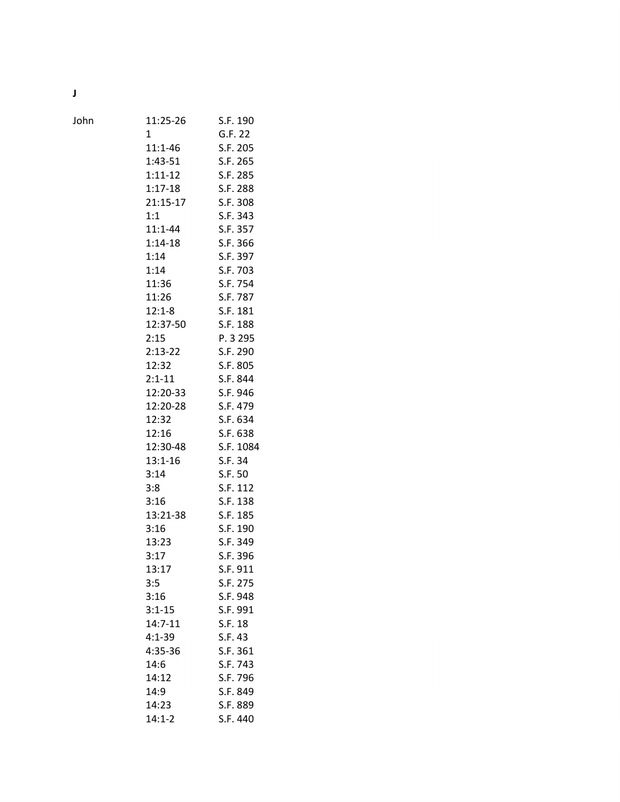J

John 11:25-26 S.F. 190 1 G.F. 22 11:1-46 S.F. 205 1:43-51 S.F. 265 1:11-12 S.F. 285 1:17-18 S.F. 288 21:15-17 S.F. 308 1:1 S.F. 343 11:1-44 S.F. 357 1:14-18 S.F. 366 1:14 S.F. 397 1:14 S.F. 703 11:36 S.F. 754 11:26 S.F. 787 12:1-8 S.F. 181 12:37-50 S.F. 188 2:15 P. 3 295 2:13-22 S.F. 290 12:32 S.F. 805 2:1-11 S.F. 844 12:20-33 S.F. 946 12:20-28 S.F. 479 12:32 S.F. 634 12:16 S.F. 638 12:30-48 S.F. 1084 13:1-16 S.F. 34 3:14 S.F. 50 3:8 S.F. 112 3:16 S.F. 138 13:21-38 S.F. 185 3:16 S.F. 190 13:23 S.F. 349 3:17 S.F. 396 13:17 S.F. 911 3:5 S.F. 275 3:16 S.F. 948 3:1-15 S.F. 991 14:7-11 S.F. 18 4:1-39 S.F. 43 4:35-36 S.F. 361 14:6 S.F. 743 14:12 S.F. 796 14:9 S.F. 849

> 14:23 S.F. 889 14:1-2 S.F. 440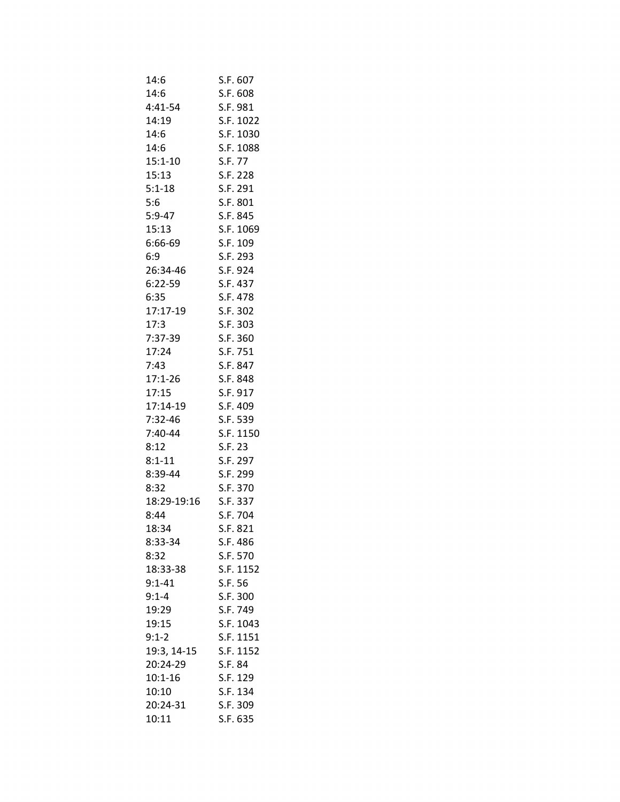| 14:6                 | S.F. 607             |
|----------------------|----------------------|
| 14:6                 | S.F. 608             |
| 4:41-54              | S.F. 981             |
| 14:19                | S.F. 1022            |
| 14:6                 | S.F. 1030            |
| 14:6                 | S.F. 1088            |
| $15:1 - 10$          | S.F. 77              |
| 15:13                | S.F. 228             |
| $5:1 - 18$           | S.F. 291             |
| 5:6                  | S.F. 801             |
| $5:9-47$             | S.F. 845             |
| 15:13                | S.F. 1069            |
| 6:66-69              | S.F. 109             |
| 6:9                  | S.F. 293             |
| 26:34-46             | S.F. 924             |
| $6:22-59$            | S.F. 437             |
| 6:35                 | S.F. 478             |
| 17:17-19             | S.F. 302             |
| 17:3                 | S.F. 303             |
| 7:37-39              | S.F. 360             |
| 17:24                | S.F. 751             |
| 7:43                 | S.F. 847             |
| $17:1 - 26$          | S.F. 848             |
| 17:15                | S.F. 917             |
| 17:14-19             | S.F. 409             |
| 7:32-46              | S.F. 539             |
| 7:40-44              | S.F. 1150            |
| 8:12                 | S.F. 23              |
| $8:1 - 11$           | S.F. 297             |
| 8:39-44              | S.F. 299             |
| 8:32                 | S.F. 370             |
| 18:29-19:16 S.F. 337 |                      |
| 8:44                 |                      |
|                      | S.F. 704<br>S.F. 821 |
| 18:34                |                      |
| 8:33-34              | S.F. 486             |
| 8:32                 | S.F. 570             |
| 18:33-38             | S.F. 1152            |
| $9:1 - 41$           | S.F. 56<br>S.F. 300  |
| $9:1 - 4$            |                      |
| 19:29                | S.F. 749             |
| 19:15                | S.F. 1043            |
| $9:1 - 2$            | S.F. 1151            |
| 19:3, 14-15          | S.F. 1152            |
| 20:24-29             | S.F. 84              |
| $10:1 - 16$          | S.F. 129             |
| 10:10                | S.F. 134             |
| 20:24-31             | S.F. 309             |
| 10:11                | S.F. 635             |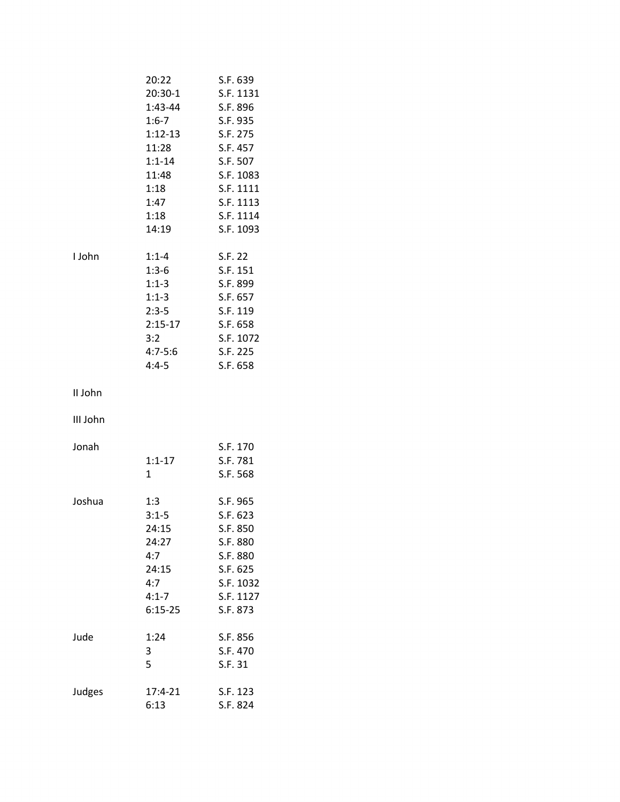|          | 20:22       | S.F. 639  |
|----------|-------------|-----------|
|          | 20:30-1     | S.F. 1131 |
|          | 1:43-44     | S.F. 896  |
|          | $1:6 - 7$   | S.F. 935  |
|          | $1:12-13$   | S.F. 275  |
|          | 11:28       | S.F. 457  |
|          | $1:1 - 14$  | S.F. 507  |
|          | 11:48       | S.F. 1083 |
|          | 1:18        | S.F. 1111 |
|          | 1:47        | S.F. 1113 |
|          | 1:18        | S.F. 1114 |
|          | 14:19       | S.F. 1093 |
|          |             |           |
| I John   | $1:1 - 4$   | S.F. 22   |
|          | $1:3-6$     | S.F. 151  |
|          | $1:1-3$     | S.F. 899  |
|          | $1:1-3$     | S.F. 657  |
|          | $2:3-5$     | S.F. 119  |
|          | $2:15-17$   | S.F. 658  |
|          |             |           |
|          | 3:2         | S.F. 1072 |
|          | $4:7 - 5:6$ | S.F. 225  |
|          | $4:4-5$     | S.F. 658  |
| II John  |             |           |
|          |             |           |
| III John |             |           |
| Jonah    |             | S.F. 170  |
|          | $1:1 - 17$  | S.F. 781  |
|          | 1           | S.F. 568  |
|          |             |           |
| Joshua   | 1:3         | S.F. 965  |
|          | $3:1 - 5$   | S.F. 623  |
|          | 24:15       | S.F. 850  |
|          | 24:27       | S.F. 880  |
|          | 4:7         | S.F. 880  |
|          | 24:15       | S.F. 625  |
|          | 4:7         | S.F. 1032 |
|          | $4:1 - 7$   | S.F. 1127 |
|          | $6:15-25$   | S.F. 873  |
|          |             |           |
| Jude     | 1:24        | S.F. 856  |
|          | 3           | S.F. 470  |
|          | 5           | S.F. 31   |
|          |             |           |
| Judges   | $17:4 - 21$ | S.F. 123  |
|          | 6:13        | S.F. 824  |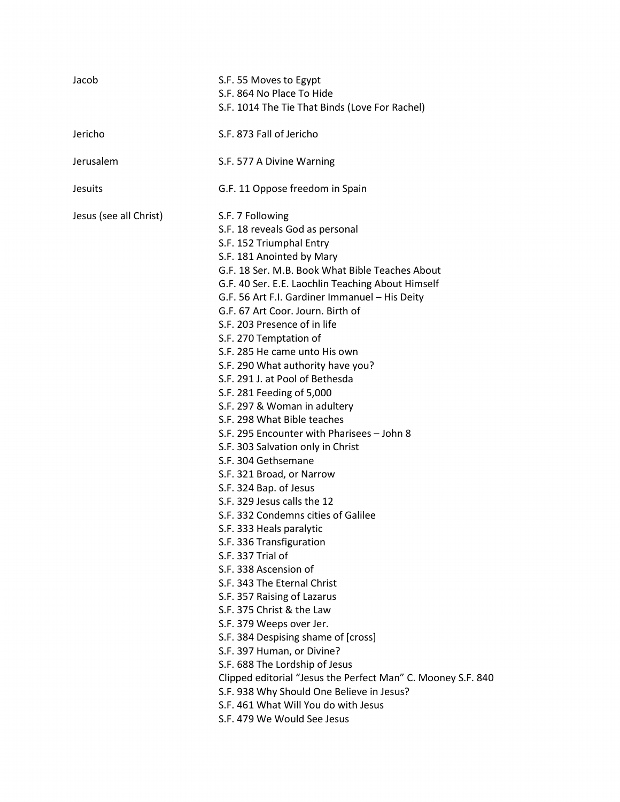| Jacob                  | S.F. 55 Moves to Egypt                                       |
|------------------------|--------------------------------------------------------------|
|                        | S.F. 864 No Place To Hide                                    |
|                        | S.F. 1014 The Tie That Binds (Love For Rachel)               |
| Jericho                | S.F. 873 Fall of Jericho                                     |
| Jerusalem              | S.F. 577 A Divine Warning                                    |
| <b>Jesuits</b>         | G.F. 11 Oppose freedom in Spain                              |
| Jesus (see all Christ) | S.F. 7 Following                                             |
|                        | S.F. 18 reveals God as personal                              |
|                        | S.F. 152 Triumphal Entry                                     |
|                        | S.F. 181 Anointed by Mary                                    |
|                        | G.F. 18 Ser. M.B. Book What Bible Teaches About              |
|                        | G.F. 40 Ser. E.E. Laochlin Teaching About Himself            |
|                        | G.F. 56 Art F.I. Gardiner Immanuel - His Deity               |
|                        | G.F. 67 Art Coor. Journ. Birth of                            |
|                        | S.F. 203 Presence of in life                                 |
|                        | S.F. 270 Temptation of                                       |
|                        | S.F. 285 He came unto His own                                |
|                        | S.F. 290 What authority have you?                            |
|                        | S.F. 291 J. at Pool of Bethesda                              |
|                        | S.F. 281 Feeding of 5,000                                    |
|                        | S.F. 297 & Woman in adultery                                 |
|                        | S.F. 298 What Bible teaches                                  |
|                        | S.F. 295 Encounter with Pharisees - John 8                   |
|                        | S.F. 303 Salvation only in Christ                            |
|                        | S.F. 304 Gethsemane                                          |
|                        | S.F. 321 Broad, or Narrow                                    |
|                        | S.F. 324 Bap. of Jesus                                       |
|                        | S.F. 329 Jesus calls the 12                                  |
|                        | S.F. 332 Condemns cities of Galilee                          |
|                        | S.F. 333 Heals paralytic                                     |
|                        | S.F. 336 Transfiguration                                     |
|                        | S.F. 337 Trial of                                            |
|                        | S.F. 338 Ascension of                                        |
|                        | S.F. 343 The Eternal Christ                                  |
|                        | S.F. 357 Raising of Lazarus                                  |
|                        | S.F. 375 Christ & the Law                                    |
|                        | S.F. 379 Weeps over Jer.                                     |
|                        | S.F. 384 Despising shame of [cross]                          |
|                        | S.F. 397 Human, or Divine?                                   |
|                        | S.F. 688 The Lordship of Jesus                               |
|                        | Clipped editorial "Jesus the Perfect Man" C. Mooney S.F. 840 |
|                        | S.F. 938 Why Should One Believe in Jesus?                    |
|                        | S.F. 461 What Will You do with Jesus                         |
|                        | S.F. 479 We Would See Jesus                                  |
|                        |                                                              |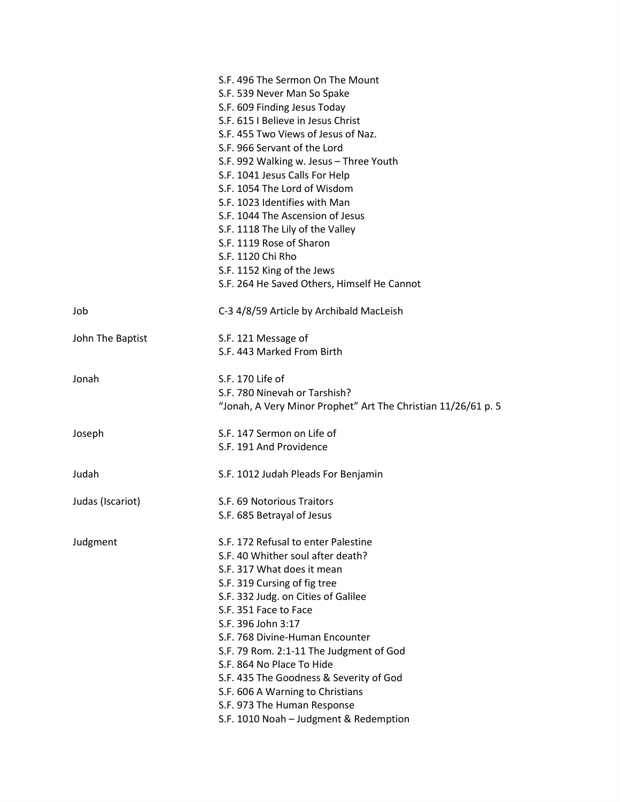|                  | S.F. 496 The Sermon On The Mount                                          |
|------------------|---------------------------------------------------------------------------|
|                  | S.F. 539 Never Man So Spake<br>S.F. 609 Finding Jesus Today               |
|                  | S.F. 615   Believe in Jesus Christ                                        |
|                  | S.F. 455 Two Views of Jesus of Naz.                                       |
|                  | S.F. 966 Servant of the Lord                                              |
|                  |                                                                           |
|                  | S.F. 992 Walking w. Jesus - Three Youth<br>S.F. 1041 Jesus Calls For Help |
|                  | S.F. 1054 The Lord of Wisdom                                              |
|                  | S.F. 1023 Identifies with Man                                             |
|                  | S.F. 1044 The Ascension of Jesus                                          |
|                  |                                                                           |
|                  | S.F. 1118 The Lily of the Valley                                          |
|                  | S.F. 1119 Rose of Sharon                                                  |
|                  | S.F. 1120 Chi Rho                                                         |
|                  | S.F. 1152 King of the Jews                                                |
|                  | S.F. 264 He Saved Others, Himself He Cannot                               |
| Job              | C-3 4/8/59 Article by Archibald MacLeish                                  |
| John The Baptist | S.F. 121 Message of                                                       |
|                  | S.F. 443 Marked From Birth                                                |
|                  |                                                                           |
| Jonah            | S.F. 170 Life of                                                          |
|                  | S.F. 780 Ninevah or Tarshish?                                             |
|                  | "Jonah, A Very Minor Prophet" Art The Christian 11/26/61 p. 5             |
| Joseph           | S.F. 147 Sermon on Life of                                                |
|                  | S.F. 191 And Providence                                                   |
|                  |                                                                           |
| Judah            | S.F. 1012 Judah Pleads For Benjamin                                       |
| Judas (Iscariot) | S.F. 69 Notorious Traitors                                                |
|                  | S.F. 685 Betrayal of Jesus                                                |
| Judgment         | S.F. 172 Refusal to enter Palestine                                       |
|                  | S.F. 40 Whither soul after death?                                         |
|                  | S.F. 317 What does it mean                                                |
|                  | S.F. 319 Cursing of fig tree                                              |
|                  | S.F. 332 Judg. on Cities of Galilee                                       |
|                  | S.F. 351 Face to Face                                                     |
|                  |                                                                           |
|                  | S.F. 396 John 3:17                                                        |
|                  | S.F. 768 Divine-Human Encounter                                           |
|                  | S.F. 79 Rom. 2:1-11 The Judgment of God                                   |
|                  | S.F. 864 No Place To Hide                                                 |
|                  | S.F. 435 The Goodness & Severity of God                                   |
|                  | S.F. 606 A Warning to Christians                                          |
|                  | S.F. 973 The Human Response                                               |
|                  | S.F. 1010 Noah - Judgment & Redemption                                    |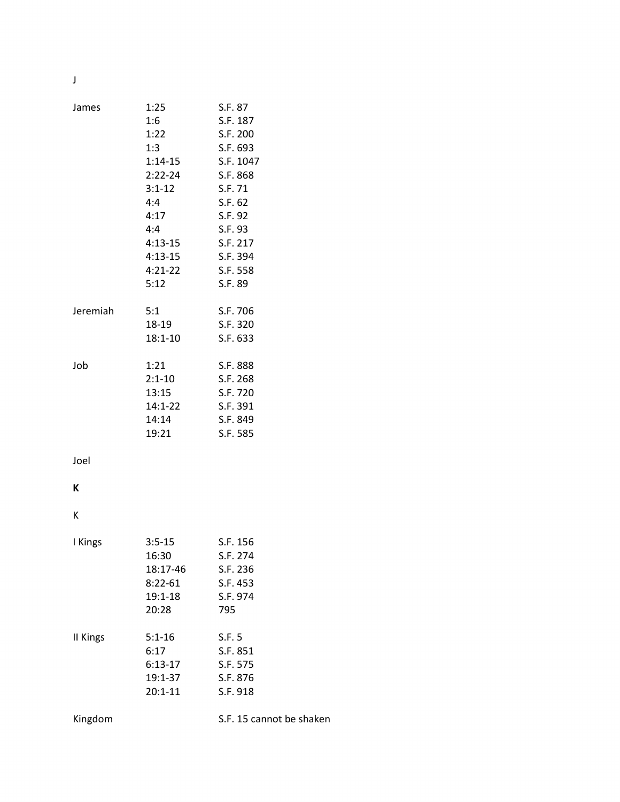J

| James    | 1:25<br>1:6<br>1:22<br>1:3<br>$2:22-24$<br>$3:1 - 12$<br>4:4<br>4:17<br>4:4<br>$4:13-15$<br>$4:13-15$<br>$4:21-22$ | S.F. 87<br>S.F. 187<br>S.F. 200<br>S.F. 693<br>1:14-15 S.F. 1047<br>S.F. 868<br>S.F. 71<br>S.F. 62<br>S.F. 92<br>S.F. 93<br>S.F. 217<br>S.F. 394<br>S.F. 558 |
|----------|--------------------------------------------------------------------------------------------------------------------|--------------------------------------------------------------------------------------------------------------------------------------------------------------|
|          | 5:12                                                                                                               | S.F. 89                                                                                                                                                      |
| Jeremiah | 5:1<br>18-19<br>$18:1 - 10$                                                                                        | S.F. 706<br>S.F. 320<br>S.F. 633                                                                                                                             |
| Job      | 1:21<br>$2:1 - 10$<br>13:15<br>14:1-22<br>14:14<br>19:21                                                           | S.F. 888<br>S.F. 268<br>S.F. 720<br>S.F. 391<br>S.F. 849<br>S.F. 585                                                                                         |
| Joel     |                                                                                                                    |                                                                                                                                                              |
| K        |                                                                                                                    |                                                                                                                                                              |
| К        |                                                                                                                    |                                                                                                                                                              |
| I Kings  | $3:5-15$<br>16:30<br>18:17-46<br>$8:22-61$<br>19:1-18<br>20:28                                                     | S.F. 156<br>S.F. 274<br>S.F. 236<br>S.F. 453<br>S.F. 974<br>795                                                                                              |
| II Kings | $5:1 - 16$<br>6:17<br>$6:13-17$<br>19:1-37<br>$20:1 - 11$                                                          | S.F. 5<br>S.F. 851<br>S.F. 575<br>S.F. 876<br>S.F. 918                                                                                                       |
| Kingdom  |                                                                                                                    | S.F. 15 cannot be shaken                                                                                                                                     |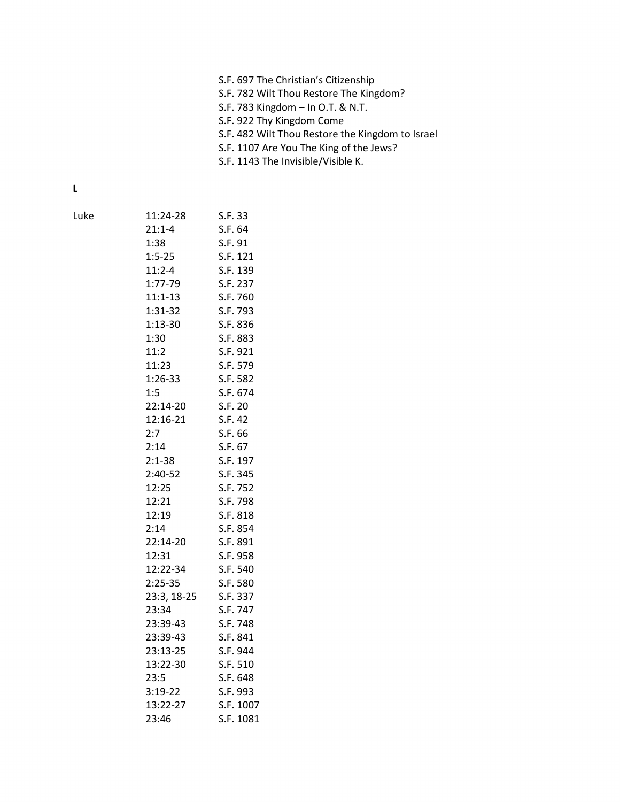- S.F. 782 Wilt Thou Restore The Kingdom?
- S.F. 783 Kingdom In O.T. & N.T.
- S.F. 922 Thy Kingdom Come
- S.F. 482 Wilt Thou Restore the Kingdom to Israel
- S.F. 1107 Are You The King of the Jews?
- S.F. 1143 The Invisible/Visible K.

L

| Luke | 11:24-28     | S.F. 33   |
|------|--------------|-----------|
|      | $21:1 - 4$   | S.F. 64   |
|      | 1:38         | S.F. 91   |
|      | $1:5-25$     | S.F. 121  |
|      | $11:2 - 4$   | S.F. 139  |
|      | 1:77-79      | S.F. 237  |
|      | $11:1-13$    | S.F. 760  |
|      | $1:31-32$    | S.F. 793  |
|      | $1:13-30$    | S.F. 836  |
|      | 1:30         | S.F. 883  |
|      | 11:2         | S.F. 921  |
|      | 11:23        | S.F. 579  |
|      | $1:26-33$    | S.F. 582  |
|      | 1:5          | S.F. 674  |
|      | 22:14-20     | S.F. 20   |
|      | 12:16-21     | S.F. 42   |
|      | 2:7          | S.F. 66   |
|      | 2:14         | S.F. 67   |
|      | $2:1 - 38$   | S.F. 197  |
|      | 2:40-52      | S.F. 345  |
|      | 12:25        | S.F. 752  |
|      | 12:21        | S.F. 798  |
|      | 12:19        | S.F. 818  |
|      | 2:14         | S.F. 854  |
|      | 22:14-20     | S.F. 891  |
|      | 12:31        | S.F. 958  |
|      | $12:22 - 34$ | S.F. 540  |
|      | $2:25-35$    | S.F. 580  |
|      | 23:3, 18-25  | S.F. 337  |
|      | 23:34        | S.F. 747  |
|      | 23:39-43     | S.F. 748  |
|      | 23:39-43     | S.F. 841  |
|      | 23:13-25     | S.F. 944  |
|      | 13:22-30     | S.F. 510  |
|      | 23:5         | S.F. 648  |
|      | $3:19-22$    | S.F. 993  |
|      | 13:22-27     | S.F. 1007 |
|      | 23:46        | S.F. 1081 |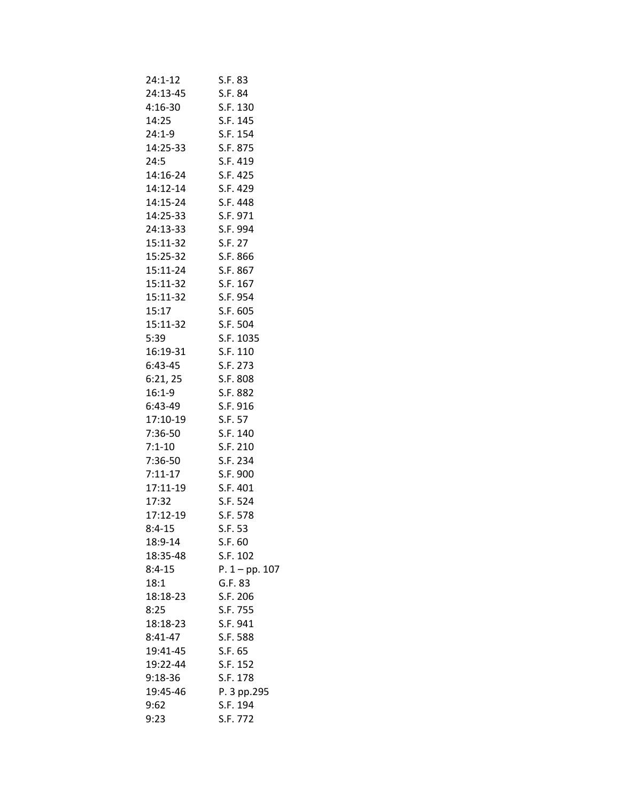| 24:1-12   | S.F. 83          |
|-----------|------------------|
| 24:13-45  | S.F. 84          |
| 4:16-30   | S.F. 130         |
| 14:25     | S.F. 145         |
| 24:1-9    | S.F. 154         |
| 14:25-33  | S.F. 875         |
| 24:5      | S.F. 419         |
| 14:16-24  | S.F. 425         |
| 14:12-14  | S.F. 429         |
| 14:15-24  | S.F. 448         |
| 14:25-33  | S.F. 971         |
| 24:13-33  | S.F. 994         |
| 15:11-32  | S.F. 27          |
| 15:25-32  | S.F. 866         |
| 15:11-24  | S.F. 867         |
| 15:11-32  | S.F. 167         |
| 15:11-32  |                  |
|           | S.F. 954         |
| 15:17     | S.F. 605         |
| 15:11-32  | S.F. 504         |
| 5:39      | S.F. 1035        |
| 16:19-31  | S.F. 110         |
| 6:43-45   | S.F. 273         |
| 6:21,25   | S.F. 808         |
| 16:1-9    | S.F. 882         |
| 6:43-49   | S.F. 916         |
| 17:10-19  | S.F. 57          |
| 7:36-50   | S.F. 140         |
| 7:1-10    | S.F. 210         |
| 7:36-50   | S.F. 234         |
| $7:11-17$ | S.F. 900         |
| 17:11-19  | S.F. 401         |
| 17:32     | S.F. 524         |
| 17:12-19  | S.F. 578         |
| 8:4-15    | S.F. 53          |
| 18:9-14   | S.F. 60          |
| 18:35-48  | S.F. 102         |
| $8:4-15$  | $P. 1 - pp. 107$ |
| 18:1      | G.F. 83          |
| 18:18-23  | S.F. 206         |
| 8:25      | S.F. 755         |
| 18:18-23  | S.F. 941         |
| $8:41-47$ | S.F. 588         |
| 19:41-45  | S.F. 65          |
| 19:22-44  | S.F. 152         |
| $9:18-36$ | S.F. 178         |
| 19:45-46  | P. 3 pp.295      |
| 9:62      | S.F. 194         |
| 9:23      | S.F. 772         |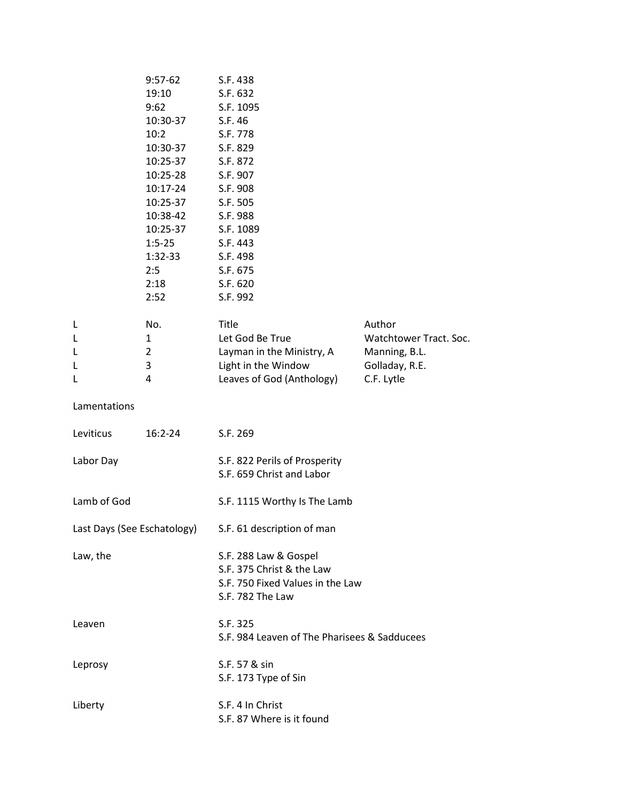|                       | $9:57-62$<br>19:10<br>9:62<br>10:30-37<br>10:2<br>10:30-37<br>10:25-37<br>10:25-28<br>10:17-24<br>10:25-37<br>10:38-42<br>10:25-37<br>$1:5-25$<br>$1:32-33$<br>2:5<br>2:18<br>2:52 | S.F. 438<br>S.F. 632<br>S.F. 1095<br>S.F. 46<br>S.F. 778<br>S.F. 829<br>S.F. 872<br>S.F. 907<br>S.F. 908<br>S.F. 505<br>S.F. 988<br>S.F. 1089<br>S.F. 443<br>S.F. 498<br>S.F. 675<br>S.F. 620<br>S.F. 992 |                                                                                   |
|-----------------------|------------------------------------------------------------------------------------------------------------------------------------------------------------------------------------|-----------------------------------------------------------------------------------------------------------------------------------------------------------------------------------------------------------|-----------------------------------------------------------------------------------|
| L<br>L<br>L<br>L<br>L | No.<br>1<br>$\overline{2}$<br>3<br>4                                                                                                                                               | Title<br>Let God Be True<br>Layman in the Ministry, A<br>Light in the Window<br>Leaves of God (Anthology)                                                                                                 | Author<br>Watchtower Tract. Soc.<br>Manning, B.L.<br>Golladay, R.E.<br>C.F. Lytle |
| Lamentations          |                                                                                                                                                                                    |                                                                                                                                                                                                           |                                                                                   |
| Leviticus             | $16:2 - 24$                                                                                                                                                                        | S.F. 269                                                                                                                                                                                                  |                                                                                   |
| Labor Day             |                                                                                                                                                                                    | S.F. 822 Perils of Prosperity<br>S.F. 659 Christ and Labor                                                                                                                                                |                                                                                   |
| Lamb of God           |                                                                                                                                                                                    | S.F. 1115 Worthy Is The Lamb                                                                                                                                                                              |                                                                                   |
|                       |                                                                                                                                                                                    | Last Days (See Eschatology) S.F. 61 description of man                                                                                                                                                    |                                                                                   |
| Law, the              |                                                                                                                                                                                    | S.F. 288 Law & Gospel<br>S.F. 375 Christ & the Law<br>S.F. 750 Fixed Values in the Law<br>S.F. 782 The Law                                                                                                |                                                                                   |
| Leaven                |                                                                                                                                                                                    | S.F. 325<br>S.F. 984 Leaven of The Pharisees & Sadducees                                                                                                                                                  |                                                                                   |
| Leprosy               |                                                                                                                                                                                    | S.F. 57 & sin<br>S.F. 173 Type of Sin                                                                                                                                                                     |                                                                                   |
| Liberty               |                                                                                                                                                                                    | S.F. 4 In Christ<br>S.F. 87 Where is it found                                                                                                                                                             |                                                                                   |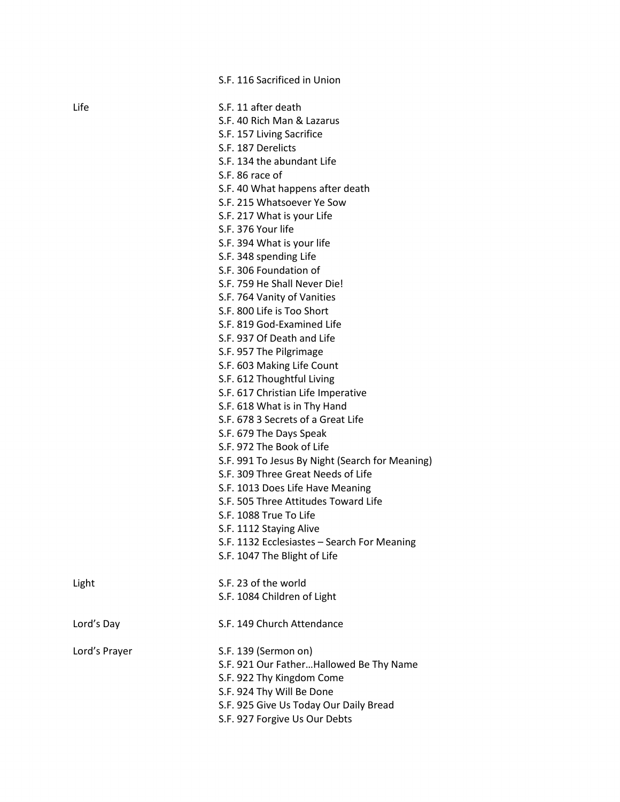|               | S.F. 116 Sacrificed in Union                    |
|---------------|-------------------------------------------------|
| Life          | S.F. 11 after death                             |
|               | S.F. 40 Rich Man & Lazarus                      |
|               | S.F. 157 Living Sacrifice                       |
|               | S.F. 187 Derelicts                              |
|               | S.F. 134 the abundant Life                      |
|               | S.F. 86 race of                                 |
|               | S.F. 40 What happens after death                |
|               | S.F. 215 Whatsoever Ye Sow                      |
|               | S.F. 217 What is your Life                      |
|               | S.F. 376 Your life                              |
|               | S.F. 394 What is your life                      |
|               | S.F. 348 spending Life                          |
|               | S.F. 306 Foundation of                          |
|               | S.F. 759 He Shall Never Die!                    |
|               | S.F. 764 Vanity of Vanities                     |
|               | S.F. 800 Life is Too Short                      |
|               | S.F. 819 God-Examined Life                      |
|               | S.F. 937 Of Death and Life                      |
|               | S.F. 957 The Pilgrimage                         |
|               | S.F. 603 Making Life Count                      |
|               | S.F. 612 Thoughtful Living                      |
|               | S.F. 617 Christian Life Imperative              |
|               | S.F. 618 What is in Thy Hand                    |
|               | S.F. 678 3 Secrets of a Great Life              |
|               | S.F. 679 The Days Speak                         |
|               | S.F. 972 The Book of Life                       |
|               | S.F. 991 To Jesus By Night (Search for Meaning) |
|               | S.F. 309 Three Great Needs of Life              |
|               | S.F. 1013 Does Life Have Meaning                |
|               | S.F. 505 Three Attitudes Toward Life            |
|               | S.F. 1088 True To Life                          |
|               | S.F. 1112 Staying Alive                         |
|               | S.F. 1132 Ecclesiastes - Search For Meaning     |
|               | S.F. 1047 The Blight of Life                    |
| Light         | S.F. 23 of the world                            |
|               | S.F. 1084 Children of Light                     |
| Lord's Day    | S.F. 149 Church Attendance                      |
| Lord's Prayer | S.F. 139 (Sermon on)                            |
|               | S.F. 921 Our FatherHallowed Be Thy Name         |
|               | S.F. 922 Thy Kingdom Come                       |
|               | S.F. 924 Thy Will Be Done                       |
|               | S.F. 925 Give Us Today Our Daily Bread          |
|               | S.F. 927 Forgive Us Our Debts                   |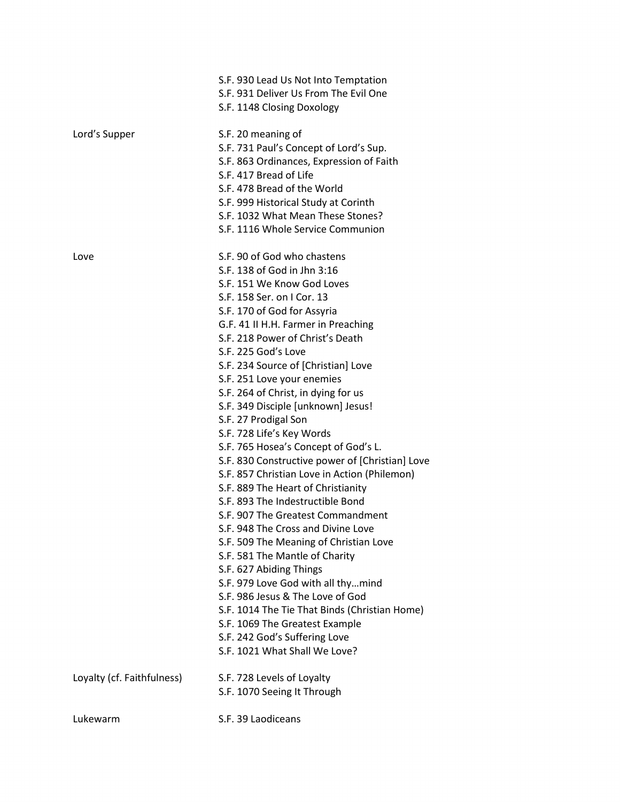|                            | S.F. 930 Lead Us Not Into Temptation                           |
|----------------------------|----------------------------------------------------------------|
|                            | S.F. 931 Deliver Us From The Evil One                          |
|                            | S.F. 1148 Closing Doxology                                     |
| Lord's Supper              | S.F. 20 meaning of                                             |
|                            | S.F. 731 Paul's Concept of Lord's Sup.                         |
|                            | S.F. 863 Ordinances, Expression of Faith                       |
|                            | S.F. 417 Bread of Life                                         |
|                            | S.F. 478 Bread of the World                                    |
|                            | S.F. 999 Historical Study at Corinth                           |
|                            | S.F. 1032 What Mean These Stones?                              |
|                            | S.F. 1116 Whole Service Communion                              |
| Love                       | S.F. 90 of God who chastens                                    |
|                            | S.F. 138 of God in Jhn 3:16                                    |
|                            | S.F. 151 We Know God Loves                                     |
|                            | S.F. 158 Ser. on I Cor. 13                                     |
|                            | S.F. 170 of God for Assyria                                    |
|                            | G.F. 41 II H.H. Farmer in Preaching                            |
|                            | S.F. 218 Power of Christ's Death                               |
|                            | S.F. 225 God's Love                                            |
|                            | S.F. 234 Source of [Christian] Love                            |
|                            | S.F. 251 Love your enemies                                     |
|                            | S.F. 264 of Christ, in dying for us                            |
|                            | S.F. 349 Disciple [unknown] Jesus!                             |
|                            | S.F. 27 Prodigal Son                                           |
|                            | S.F. 728 Life's Key Words                                      |
|                            | S.F. 765 Hosea's Concept of God's L.                           |
|                            | S.F. 830 Constructive power of [Christian] Love                |
|                            | S.F. 857 Christian Love in Action (Philemon)                   |
|                            | S.F. 889 The Heart of Christianity                             |
|                            | S.F. 893 The Indestructible Bond                               |
|                            | S.F. 907 The Greatest Commandment                              |
|                            | S.F. 948 The Cross and Divine Love                             |
|                            | S.F. 509 The Meaning of Christian Love                         |
|                            | S.F. 581 The Mantle of Charity                                 |
|                            | S.F. 627 Abiding Things                                        |
|                            | S.F. 979 Love God with all thymind                             |
|                            | S.F. 986 Jesus & The Love of God                               |
|                            | S.F. 1014 The Tie That Binds (Christian Home)                  |
|                            | S.F. 1069 The Greatest Example                                 |
|                            | S.F. 242 God's Suffering Love<br>S.F. 1021 What Shall We Love? |
|                            |                                                                |
| Loyalty (cf. Faithfulness) | S.F. 728 Levels of Loyalty                                     |
|                            | S.F. 1070 Seeing It Through                                    |
| Lukewarm                   | S.F. 39 Laodiceans                                             |
|                            |                                                                |